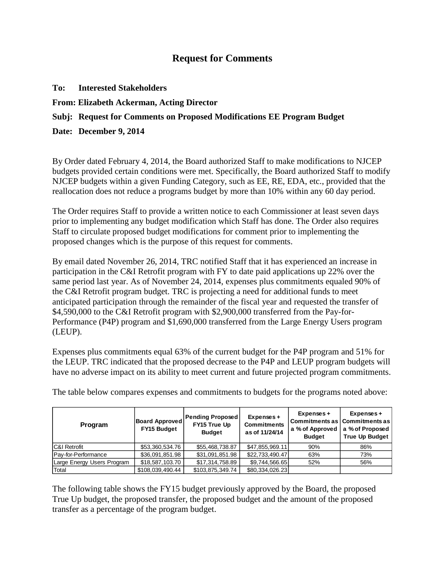## **Request for Comments**

| To: |  | <b>Interested Stakeholders</b> |
|-----|--|--------------------------------|
|-----|--|--------------------------------|

**From: Elizabeth Ackerman, Acting Director**

## **Subj: Request for Comments on Proposed Modifications EE Program Budget**

**Date: December 9, 2014**

By Order dated February 4, 2014, the Board authorized Staff to make modifications to NJCEP budgets provided certain conditions were met. Specifically, the Board authorized Staff to modify NJCEP budgets within a given Funding Category, such as EE, RE, EDA, etc., provided that the reallocation does not reduce a programs budget by more than 10% within any 60 day period.

The Order requires Staff to provide a written notice to each Commissioner at least seven days prior to implementing any budget modification which Staff has done. The Order also requires Staff to circulate proposed budget modifications for comment prior to implementing the proposed changes which is the purpose of this request for comments.

By email dated November 26, 2014, TRC notified Staff that it has experienced an increase in participation in the C&I Retrofit program with FY to date paid applications up 22% over the same period last year. As of November 24, 2014, expenses plus commitments equaled 90% of the C&I Retrofit program budget. TRC is projecting a need for additional funds to meet anticipated participation through the remainder of the fiscal year and requested the transfer of \$4,590,000 to the C&I Retrofit program with \$2,900,000 transferred from the Pay-for-Performance (P4P) program and \$1,690,000 transferred from the Large Energy Users program (LEUP).

Expenses plus commitments equal 63% of the current budget for the P4P program and 51% for the LEUP. TRC indicated that the proposed decrease to the P4P and LEUP program budgets will have no adverse impact on its ability to meet current and future projected program commitments.

| Program                    | <b>Board Approved</b><br><b>FY15 Budget</b> | <b>Pending Proposed</b><br>FY15 True Up<br><b>Budget</b> | Expenses +<br><b>Commitments</b><br>as of 11/24/14 | Expenses +<br>a % of Approved<br><b>Budget</b> | $Express +$<br>Commitments as Commitments as I<br>a % of Proposed<br><b>True Up Budget</b> |
|----------------------------|---------------------------------------------|----------------------------------------------------------|----------------------------------------------------|------------------------------------------------|--------------------------------------------------------------------------------------------|
| <b>C&amp;I Retrofit</b>    | \$53,360,534.76                             | \$55,468,738.87                                          | \$47,855,969.11                                    | 90%                                            | 86%                                                                                        |
| Pay-for-Performance        | \$36,091,851.98                             | \$31,091,851.98                                          | \$22,733,490.47                                    | 63%                                            | 73%                                                                                        |
| Large Energy Users Program | \$18,587,103.70                             | \$17,314,758.89                                          | \$9,744,566.65                                     | 52%                                            | 56%                                                                                        |
| Total                      | \$108,039,490.44                            | \$103,875,349.74                                         | \$80,334,026.23                                    |                                                |                                                                                            |

The table below compares expenses and commitments to budgets for the programs noted above:

The following table shows the FY15 budget previously approved by the Board, the proposed True Up budget, the proposed transfer, the proposed budget and the amount of the proposed transfer as a percentage of the program budget.